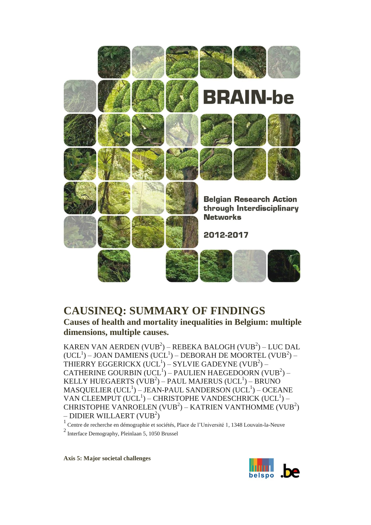

# **CAUSINEQ: SUMMARY OF FINDINGS**

**Causes of health and mortality inequalities in Belgium: multiple dimensions, multiple causes.**

KAREN VAN AERDEN (VUB<sup>2</sup>) – REBEKA BALOGH (VUB<sup>2</sup>) – LUC DAL  $(UCL^1)$  – JOAN DAMIENS  $(UCL^1)$  – DEBORAH DE MOORTEL  $(VUB^2)$  – THIERRY EGGERICKX  $(\mathrm{UCL}^1)-\mathrm{SYLVIE}$  GADEYNE  $(\mathrm{VUB}^2) \mathsf{CATHERINE}\ \mathsf{GOURBIN}\ (\mathsf{UCL}^1) - \mathsf{PAULIEN}\ \mathsf{HAEGEDOORN}\ (\mathsf{VUB}^2) -$ KELLY HUEGAERTS (VUB $^2$ ) – PAUL MAJERUS (UCL $^1$ ) – BRUNO  $\mathrm{MASQUELIER\ (UCL}^1)-\mathrm{JEAN-PAUL\ SANDERSON\ (UCL}^1)-\mathrm{OCEANE}$ VAN CLEEMPUT (UCL<sup>1</sup>) – CHRISTOPHE VANDESCHRICK (UCL<sup>1</sup>) – CHRISTOPHE VANROELEN (VUB<sup>2</sup>) – KATRIEN VANTHOMME (VUB<sup>2</sup>) – DIDIER WILLAERT (VUB $^2$ )

<sup>1</sup>Centre de recherche en démographie et sociétés, Place de l'Université 1, 1348 Louvain-la-Neuve

<sup>2</sup> Interface Demography, Pleinlaan 5, 1050 Brussel

**Axis 5: Major societal challenges**

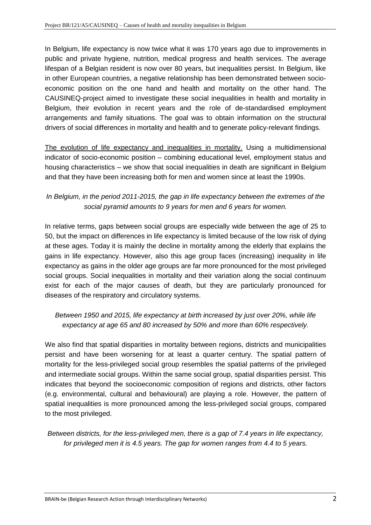In Belgium, life expectancy is now twice what it was 170 years ago due to improvements in public and private hygiene, nutrition, medical progress and health services. The average lifespan of a Belgian resident is now over 80 years, but inequalities persist. In Belgium, like in other European countries, a negative relationship has been demonstrated between socioeconomic position on the one hand and health and mortality on the other hand. The CAUSINEQ-project aimed to investigate these social inequalities in health and mortality in Belgium, their evolution in recent years and the role of de-standardised employment arrangements and family situations. The goal was to obtain information on the structural drivers of social differences in mortality and health and to generate policy-relevant findings.

The evolution of life expectancy and inequalities in mortality. Using a multidimensional indicator of socio-economic position – combining educational level, employment status and housing characteristics – we show that social inequalities in death are significant in Belgium and that they have been increasing both for men and women since at least the 1990s.

## *In Belgium, in the period 2011-2015, the gap in life expectancy between the extremes of the social pyramid amounts to 9 years for men and 6 years for women.*

In relative terms, gaps between social groups are especially wide between the age of 25 to 50, but the impact on differences in life expectancy is limited because of the low risk of dying at these ages. Today it is mainly the decline in mortality among the elderly that explains the gains in life expectancy. However, also this age group faces (increasing) inequality in life expectancy as gains in the older age groups are far more pronounced for the most privileged social groups. Social inequalities in mortality and their variation along the social continuum exist for each of the major causes of death, but they are particularly pronounced for diseases of the respiratory and circulatory systems.

## *Between 1950 and 2015, life expectancy at birth increased by just over 20%, while life expectancy at age 65 and 80 increased by 50% and more than 60% respectively.*

We also find that spatial disparities in mortality between regions, districts and municipalities persist and have been worsening for at least a quarter century. The spatial pattern of mortality for the less-privileged social group resembles the spatial patterns of the privileged and intermediate social groups. Within the same social group, spatial disparities persist. This indicates that beyond the socioeconomic composition of regions and districts, other factors (e.g. environmental, cultural and behavioural) are playing a role. However, the pattern of spatial inequalities is more pronounced among the less-privileged social groups, compared to the most privileged.

*Between districts, for the less-privileged men, there is a gap of 7.4 years in life expectancy, for privileged men it is 4.5 years. The gap for women ranges from 4.4 to 5 years.*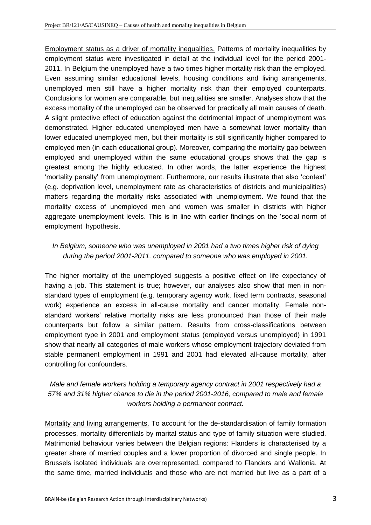Employment status as a driver of mortality inequalities. Patterns of mortality inequalities by employment status were investigated in detail at the individual level for the period 2001- 2011. In Belgium the unemployed have a two times higher mortality risk than the employed. Even assuming similar educational levels, housing conditions and living arrangements, unemployed men still have a higher mortality risk than their employed counterparts. Conclusions for women are comparable, but inequalities are smaller. Analyses show that the excess mortality of the unemployed can be observed for practically all main causes of death. A slight protective effect of education against the detrimental impact of unemployment was demonstrated. Higher educated unemployed men have a somewhat lower mortality than lower educated unemployed men, but their mortality is still significantly higher compared to employed men (in each educational group). Moreover, comparing the mortality gap between employed and unemployed within the same educational groups shows that the gap is greatest among the highly educated. In other words, the latter experience the highest 'mortality penalty' from unemployment. Furthermore, our results illustrate that also 'context' (e.g. deprivation level, unemployment rate as characteristics of districts and municipalities) matters regarding the mortality risks associated with unemployment. We found that the mortality excess of unemployed men and women was smaller in districts with higher aggregate unemployment levels. This is in line with earlier findings on the 'social norm of employment' hypothesis.

## *In Belgium, someone who was unemployed in 2001 had a two times higher risk of dying during the period 2001-2011, compared to someone who was employed in 2001.*

The higher mortality of the unemployed suggests a positive effect on life expectancy of having a job. This statement is true; however, our analyses also show that men in nonstandard types of employment (e.g. temporary agency work, fixed term contracts, seasonal work) experience an excess in all-cause mortality and cancer mortality. Female nonstandard workers' relative mortality risks are less pronounced than those of their male counterparts but follow a similar pattern. Results from cross-classifications between employment type in 2001 and employment status (employed versus unemployed) in 1991 show that nearly all categories of male workers whose employment trajectory deviated from stable permanent employment in 1991 and 2001 had elevated all-cause mortality, after controlling for confounders.

## *Male and female workers holding a temporary agency contract in 2001 respectively had a 57% and 31% higher chance to die in the period 2001-2016, compared to male and female workers holding a permanent contract.*

Mortality and living arrangements. To account for the de-standardisation of family formation processes, mortality differentials by marital status and type of family situation were studied. Matrimonial behaviour varies between the Belgian regions: Flanders is characterised by a greater share of married couples and a lower proportion of divorced and single people. In Brussels isolated individuals are overrepresented, compared to Flanders and Wallonia. At the same time, married individuals and those who are not married but live as a part of a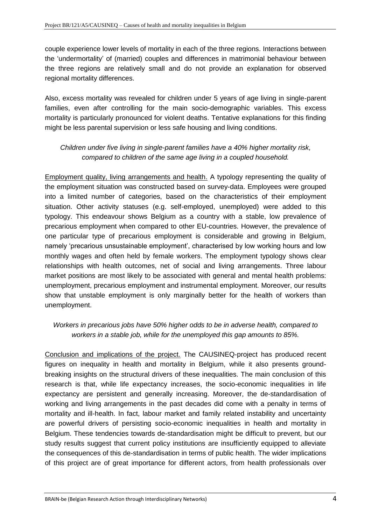couple experience lower levels of mortality in each of the three regions. Interactions between the 'undermortality' of (married) couples and differences in matrimonial behaviour between the three regions are relatively small and do not provide an explanation for observed regional mortality differences.

Also, excess mortality was revealed for children under 5 years of age living in single-parent families, even after controlling for the main socio-demographic variables. This excess mortality is particularly pronounced for violent deaths. Tentative explanations for this finding might be less parental supervision or less safe housing and living conditions.

## *Children under five living in single-parent families have a 40% higher mortality risk, compared to children of the same age living in a coupled household.*

Employment quality, living arrangements and health. A typology representing the quality of the employment situation was constructed based on survey-data. Employees were grouped into a limited number of categories, based on the characteristics of their employment situation. Other activity statuses (e.g. self-employed, unemployed) were added to this typology. This endeavour shows Belgium as a country with a stable, low prevalence of precarious employment when compared to other EU-countries. However, the prevalence of one particular type of precarious employment is considerable and growing in Belgium, namely 'precarious unsustainable employment', characterised by low working hours and low monthly wages and often held by female workers. The employment typology shows clear relationships with health outcomes, net of social and living arrangements. Three labour market positions are most likely to be associated with general and mental health problems: unemployment, precarious employment and instrumental employment. Moreover, our results show that unstable employment is only marginally better for the health of workers than unemployment.

## *Workers in precarious jobs have 50% higher odds to be in adverse health, compared to workers in a stable job, while for the unemployed this gap amounts to 85%.*

Conclusion and implications of the project. The CAUSINEQ-project has produced recent figures on inequality in health and mortality in Belgium, while it also presents groundbreaking insights on the structural drivers of these inequalities. The main conclusion of this research is that, while life expectancy increases, the socio-economic inequalities in life expectancy are persistent and generally increasing. Moreover, the de-standardisation of working and living arrangements in the past decades did come with a penalty in terms of mortality and ill-health. In fact, labour market and family related instability and uncertainty are powerful drivers of persisting socio-economic inequalities in health and mortality in Belgium. These tendencies towards de-standardisation might be difficult to prevent, but our study results suggest that current policy institutions are insufficiently equipped to alleviate the consequences of this de-standardisation in terms of public health. The wider implications of this project are of great importance for different actors, from health professionals over